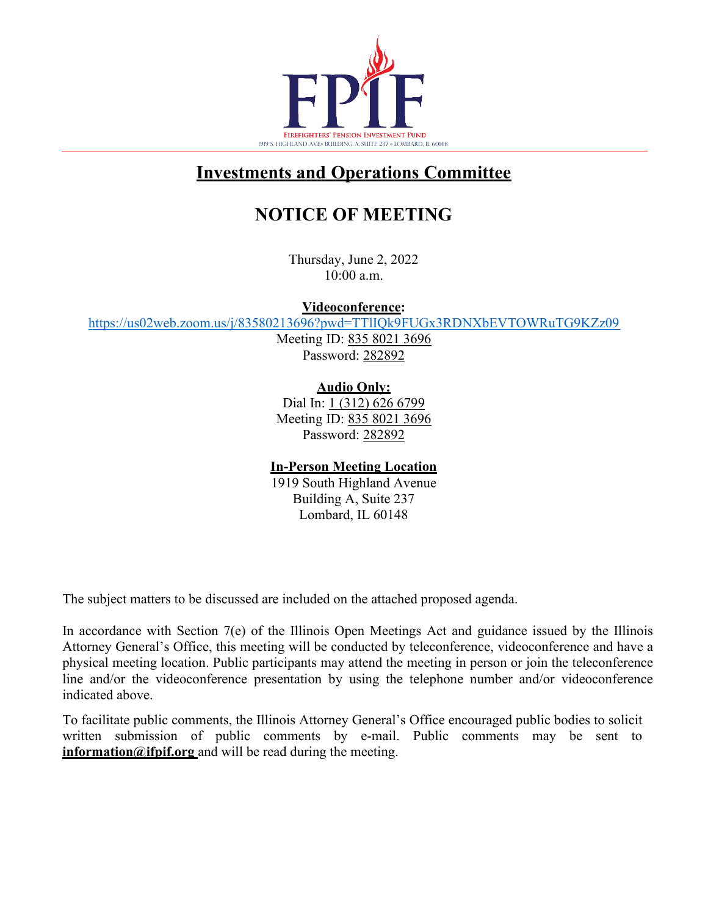

### **Investments and Operations Committee**

# **NOTICE OF MEETING**

Thursday, June 2, 2022 10:00 a.m.

**Videoconference:** 

<https://us02web.zoom.us/j/83580213696?pwd=TTlIQk9FUGx3RDNXbEVTOWRuTG9KZz09>

Meeting ID: 835 8021 3696 Password: 282892

**Audio Only:**

Dial In: 1 (312) 626 6799 Meeting ID: 835 8021 3696 Password: 282892

#### **In-Person Meeting Location**

1919 South Highland Avenue Building A, Suite 237 Lombard, IL 60148

The subject matters to be discussed are included on the attached proposed agenda.

In accordance with Section 7(e) of the Illinois Open Meetings Act and guidance issued by the Illinois Attorney General's Office, this meeting will be conducted by teleconference, videoconference and have a physical meeting location. Public participants may attend the meeting in person or join the teleconference line and/or the videoconference presentation by using the telephone number and/or videoconference indicated above.

To facilitate public comments, the Illinois Attorney General's Office encouraged public bodies to solicit written submission of public comments by e-mail. Public comments may be sent to **[information@ifpif.org](mailto:information@ifpif.org)** and will be read during the meeting.